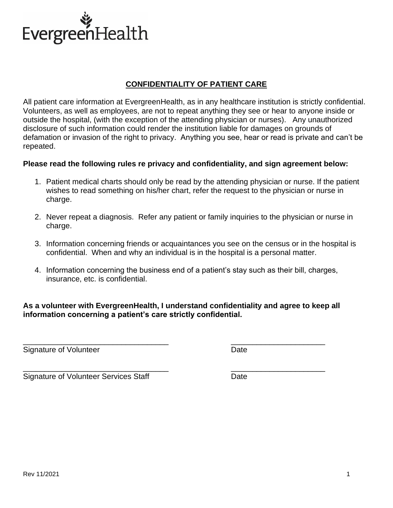

## **CONFIDENTIALITY OF PATIENT CARE**

All patient care information at EvergreenHealth, as in any healthcare institution is strictly confidential. Volunteers, as well as employees, are not to repeat anything they see or hear to anyone inside or outside the hospital, (with the exception of the attending physician or nurses). Any unauthorized disclosure of such information could render the institution liable for damages on grounds of defamation or invasion of the right to privacy. Anything you see, hear or read is private and can't be repeated.

### **Please read the following rules re privacy and confidentiality, and sign agreement below:**

- 1. Patient medical charts should only be read by the attending physician or nurse. If the patient wishes to read something on his/her chart, refer the request to the physician or nurse in charge.
- 2. Never repeat a diagnosis. Refer any patient or family inquiries to the physician or nurse in charge.
- 3. Information concerning friends or acquaintances you see on the census or in the hospital is confidential. When and why an individual is in the hospital is a personal matter.
- 4. Information concerning the business end of a patient's stay such as their bill, charges, insurance, etc. is confidential.

### **As a volunteer with EvergreenHealth, I understand confidentiality and agree to keep all information concerning a patient's care strictly confidential.**

\_\_\_\_\_\_\_\_\_\_\_\_\_\_\_\_\_\_\_\_\_\_\_\_\_\_\_\_\_\_\_\_\_\_ \_\_\_\_\_\_\_\_\_\_\_\_\_\_\_\_\_\_\_\_\_\_

Signature of Volunteer **Date** 

\_\_\_\_\_\_\_\_\_\_\_\_\_\_\_\_\_\_\_\_\_\_\_\_\_\_\_\_\_\_\_\_\_\_ \_\_\_\_\_\_\_\_\_\_\_\_\_\_\_\_\_\_\_\_\_\_ Signature of Volunteer Services Staff **Date**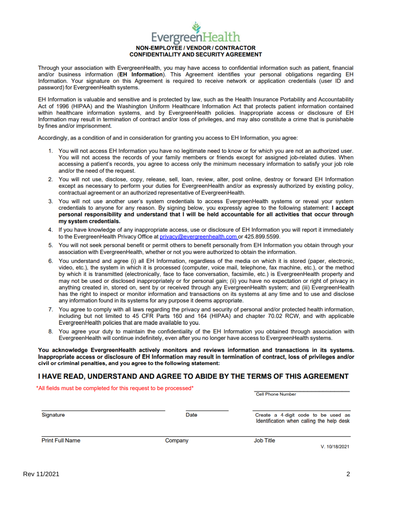## **Evergreen** NON-EMPLOYEE / VENDOR / CONTRACTOR **CONFIDENTIALITY AND SECURITY AGREEMENT**

Through your association with EvergreenHealth, you may have access to confidential information such as patient, financial and/or business information (EH Information). This Agreement identifies your personal obligations regarding EH Information. Your signature on this Agreement is required to receive network or application credentials (user ID and password) for EvergreenHealth systems.

EH Information is valuable and sensitive and is protected by law, such as the Health Insurance Portability and Accountability Act of 1996 (HIPAA) and the Washington Uniform Healthcare Information Act that protects patient information contained within healthcare information systems, and by EvergreenHealth policies. Inappropriate access or disclosure of EH Information may result in termination of contract and/or loss of privileges, and may also constitute a crime that is punishable by fines and/or imprisonment.

Accordingly, as a condition of and in consideration for granting you access to EH Information, you agree:

- 1. You will not access EH Information you have no legitimate need to know or for which you are not an authorized user. You will not access the records of your family members or friends except for assigned job-related duties. When accessing a patient's records, you agree to access only the minimum necessary information to satisfy your job role and/or the need of the request.
- 2. You will not use, disclose, copy, release, sell, loan, review, alter, post online, destroy or forward EH Information except as necessary to perform your duties for EvergreenHealth and/or as expressly authorized by existing policy, contractual agreement or an authorized representative of EvergreenHealth.
- 3. You will not use another user's system credentials to access EvergreenHealth systems or reveal your system credentials to anyone for any reason. By signing below, you expressly agree to the following statement: I accept personal responsibility and understand that I will be held accountable for all activities that occur through my system credentials.
- 4. If you have knowledge of any inappropriate access, use or disclosure of EH Information you will report it immediately to the EvergreenHealth Privacy Office at privacy@evergreenhealth.com or 425.899.5599.
- 5. You will not seek personal benefit or permit others to benefit personally from EH Information you obtain through your association with EvergreenHealth, whether or not you were authorized to obtain the information.
- 6. You understand and agree (i) all EH Information, regardless of the media on which it is stored (paper, electronic, video, etc.), the system in which it is processed (computer, voice mail, telephone, fax machine, etc.), or the method by which it is transmitted (electronically, face to face conversation, facsimile, etc.) is EvergreenHealth property and may not be used or disclosed inappropriately or for personal gain; (ii) you have no expectation or right of privacy in anything created in, stored on, sent by or received through any EvergreenHealth system; and (iii) EvergreenHealth has the right to inspect or monitor information and transactions on its systems at any time and to use and disclose any information found in its systems for any purpose it deems appropriate.
- 7. You agree to comply with all laws regarding the privacy and security of personal and/or protected health information, including but not limited to 45 CFR Parts 160 and 164 (HIPAA) and chapter 70.02 RCW, and with applicable Evergreen Health policies that are made available to you.
- You agree your duty to maintain the confidentiality of the EH Information you obtained through association with 8. EvergreenHealth will continue indefinitely, even after you no longer have access to EvergreenHealth systems.

You acknowledge EvergreenHealth actively monitors and reviews information and transactions in its systems. Inappropriate access or disclosure of EH Information may result in termination of contract, loss of privileges and/or civil or criminal penalties, and you agree to the following statement:

#### I HAVE READ, UNDERSTAND AND AGREE TO ABIDE BY THE TERMS OF THIS AGREEMENT

\*All fields must be completed for this request to be processed\*

Cell Phone Number

| Signature | Date |
|-----------|------|
|           |      |

Create a 4-digit code to be used as Identification when calling the help desk

**Print Full Name** 

Company

**Job Title** 

V. 10/18/2021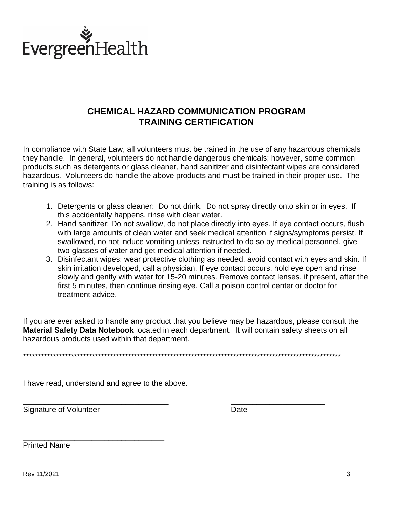

# **CHEMICAL HAZARD COMMUNICATION PROGRAM TRAINING CERTIFICATION**

In compliance with State Law, all volunteers must be trained in the use of any hazardous chemicals they handle. In general, volunteers do not handle dangerous chemicals; however, some common products such as detergents or glass cleaner, hand sanitizer and disinfectant wipes are considered hazardous. Volunteers do handle the above products and must be trained in their proper use. The training is as follows:

- 1. Detergents or glass cleaner: Do not drink. Do not spray directly onto skin or in eyes. If this accidentally happens, rinse with clear water.
- 2. Hand sanitizer: Do not swallow, do not place directly into eyes. If eye contact occurs, flush with large amounts of clean water and seek medical attention if signs/symptoms persist. If swallowed, no not induce vomiting unless instructed to do so by medical personnel, give two glasses of water and get medical attention if needed.
- 3. Disinfectant wipes: wear protective clothing as needed, avoid contact with eyes and skin. If skin irritation developed, call a physician. If eye contact occurs, hold eye open and rinse slowly and gently with water for 15-20 minutes. Remove contact lenses, if present, after the first 5 minutes, then continue rinsing eye. Call a poison control center or doctor for treatment advice.

If you are ever asked to handle any product that you believe may be hazardous, please consult the Material Safety Data Notebook located in each department. It will contain safety sheets on all hazardous products used within that department.

I have read, understand and agree to the above.

Signature of Volunteer

**Date** 

**Printed Name**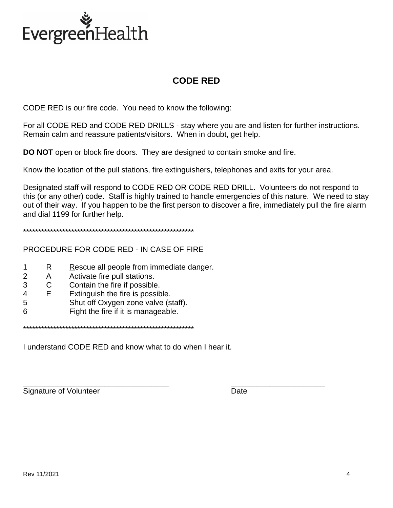

# **CODE RED**

CODE RED is our fire code. You need to know the following:

For all CODE RED and CODE RED DRILLS - stay where you are and listen for further instructions. Remain calm and reassure patients/visitors. When in doubt, get help.

**DO NOT** open or block fire doors. They are designed to contain smoke and fire.

Know the location of the pull stations, fire extinguishers, telephones and exits for your area.

\_\_\_\_\_\_\_\_\_\_\_\_\_\_\_\_\_\_\_\_\_\_\_\_\_\_\_\_\_\_\_\_\_\_ \_\_\_\_\_\_\_\_\_\_\_\_\_\_\_\_\_\_\_\_\_\_

Designated staff will respond to CODE RED OR CODE RED DRILL. Volunteers do not respond to this (or any other) code. Staff is highly trained to handle emergencies of this nature. We need to stay out of their way. If you happen to be the first person to discover a fire, immediately pull the fire alarm and dial 1199 for further help.

\*\*\*\*\*\*\*\*\*\*\*\*\*\*\*\*\*\*\*\*\*\*\*\*\*\*\*\*\*\*\*\*\*\*\*\*\*\*\*\*\*\*\*\*\*\*\*\*\*\*\*\*\*\*\*\*\*

PROCEDURE FOR CODE RED - IN CASE OF FIRE

- 1 R Rescue all people from immediate danger.
- 2 A Activate fire pull stations.
- 3 C Contain the fire if possible.
- 4 E Extinguish the fire is possible.
- 5 Shut off Oxygen zone valve (staff).
- 6 Fight the fire if it is manageable.

\*\*\*\*\*\*\*\*\*\*\*\*\*\*\*\*\*\*\*\*\*\*\*\*\*\*\*\*\*\*\*\*\*\*\*\*\*\*\*\*\*\*\*\*\*\*\*\*\*\*\*\*\*\*\*\*\*

I understand CODE RED and know what to do when I hear it.

Signature of Volunteer **Date**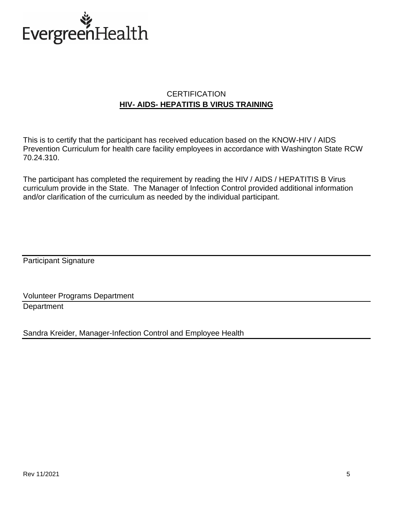

## **CERTIFICATION HIV- AIDS- HEPATITIS B VIRUS TRAINING**

This is to certify that the participant has received education based on the KNOW-HIV / AIDS Prevention Curriculum for health care facility employees in accordance with Washington State RCW 70.24.310.

The participant has completed the requirement by reading the HIV / AIDS / HEPATITIS B Virus curriculum provide in the State. The Manager of Infection Control provided additional information and/or clarification of the curriculum as needed by the individual participant.

Participant Signature

Volunteer Programs Department **Department** 

Sandra Kreider, Manager-Infection Control and Employee Health